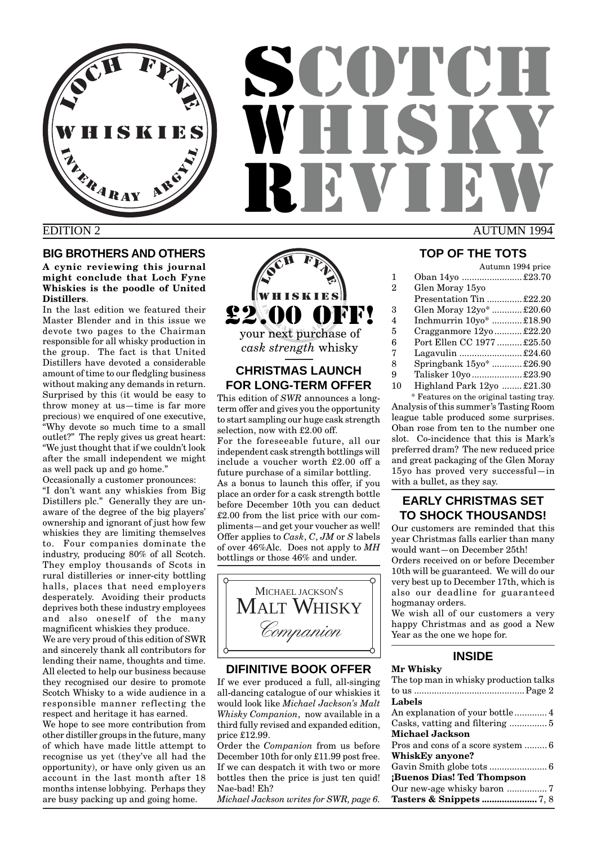

# **SCOTCH** HISK REVIEW EDITION 2 AUTUMN 1994

# **BIG BROTHERS AND OTHERS**

**A cynic reviewing this journal might conclude that Loch Fyne Whiskies is the poodle of United Distillers**.

In the last edition we featured their Master Blender and in this issue we devote two pages to the Chairman responsible for all whisky production in the group. The fact is that United Distillers have devoted a considerable amount of time to our fledgling business without making any demands in return. Surprised by this (it would be easy to throw money at us—time is far more precious) we enquired of one executive, "Why devote so much time to a small outlet?" The reply gives us great heart: "We just thought that if we couldn't look after the small independent we might as well pack up and go home."

Occasionally a customer pronounces: "I don't want any whiskies from Big Distillers plc." Generally they are unaware of the degree of the big players' ownership and ignorant of just how few whiskies they are limiting themselves to. Four companies dominate the industry, producing 80% of all Scotch. They employ thousands of Scots in rural distilleries or inner-city bottling halls, places that need employers desperately. Avoiding their products deprives both these industry employees and also oneself of the many magnificent whiskies they produce.

We are very proud of this edition of SWR and sincerely thank all contributors for lending their name, thoughts and time. All elected to help our business because they recognised our desire to promote Scotch Whisky to a wide audience in a responsible manner reflecting the respect and heritage it has earned.

We hope to see more contribution from other distiller groups in the future, many of which have made little attempt to recognise us yet (they've all had the opportunity), or have only given us an account in the last month after 18 months intense lobbying. Perhaps they are busy packing up and going home.



# **CHRISTMAS LAUNCH FOR LONG-TERM OFFER**

This edition of *SWR* announces a longterm offer and gives you the opportunity to start sampling our huge cask strength selection, now with £2.00 off. For the foreseeable future, all our independent cask strength bottlings will include a voucher worth £2.00 off a future purchase of a similar bottling. As a bonus to launch this offer, if you place an order for a cask strength bottle before December 10th you can deduct £2.00 from the list price with our compliments—and get your voucher as well! Offer applies to *Cask*, *C*, *JM* or *S* labels of over 46%Alc. Does not apply to *MH* bottlings or those 46% and under.



# **DIFINITIVE BOOK OFFER**

If we ever produced a full, all-singing all-dancing catalogue of our whiskies it would look like *Michael Jackson's Malt Whisky Companion*, now available in a third fully revised and expanded edition, price £12.99.

Order the *Companion* from us before December 10th for only £11.99 post free. If we can despatch it with two or more bottles then the price is just ten quid! Nae-bad! Eh?

*Michael Jackson writes for SWR, page 6.*

# **TOP OF THE TOTS**

Autumn 1994 price

| 1  | Oban 14yo £23.70          |  |
|----|---------------------------|--|
| 2  | Glen Moray 15yo           |  |
|    | Presentation Tin £22.20   |  |
| 3  | Glen Moray 12yo* £20.60   |  |
| 4  | Inchmurrin 10yo* £18.90   |  |
| 5  | Cragganmore 12yo  £22.20  |  |
| 6  | Port Ellen CC 1977 £25.50 |  |
| 7  | Lagavulin £24.60          |  |
| 8  | Springbank 15yo* £26.90   |  |
| 9  | Talisker 10yo £23.90      |  |
| 10 | Highland Park 12yo £21.30 |  |
|    |                           |  |

\* Features on the original tasting tray. Analysis of this summer's Tasting Room league table produced some surprises. Oban rose from ten to the number one slot. Co-incidence that this is Mark's preferred dram? The new reduced price and great packaging of the Glen Moray 15yo has proved very successful—in with a bullet, as they say.

# **EARLY CHRISTMAS SET TO SHOCK THOUSANDS!**

Our customers are reminded that this year Christmas falls earlier than many would want—on December 25th!

Orders received on or before December 10th will be guaranteed. We will do our very best up to December 17th, which is also our deadline for guaranteed hogmanay orders.

We wish all of our customers a very happy Christmas and as good a New Year as the one we hope for.

# **INSIDE**

## **Mr Whisky**

| The top man in whisky production talks |  |  |
|----------------------------------------|--|--|
|                                        |  |  |
| Labels                                 |  |  |
|                                        |  |  |
|                                        |  |  |
| <b>Michael Jackson</b>                 |  |  |
|                                        |  |  |
| WhiskEy anyone?                        |  |  |
|                                        |  |  |
| Buenos Dias! Ted Thompson              |  |  |
|                                        |  |  |
|                                        |  |  |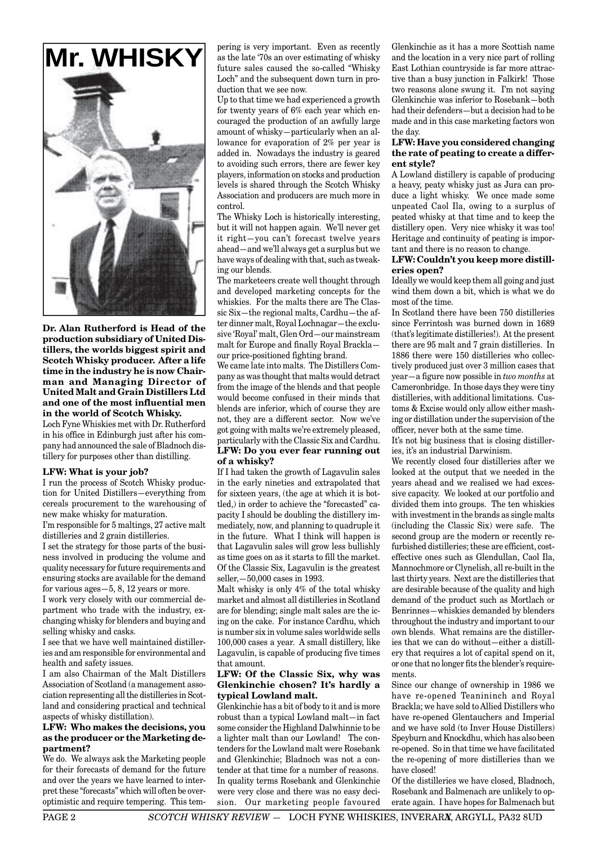

**Dr. Alan Rutherford is Head of the production subsidiary of United Distillers, the worlds biggest spirit and Scotch Whisky producer. After a life time in the industry he is now Chairman and Managing Director of United Malt and Grain Distillers Ltd and one of the most influential men in the world of Scotch Whisky.** Loch Fyne Whiskies met with Dr. Rutherford in his office in Edinburgh just after his com-

# pany had announced the sale of Bladnoch distillery for purposes other than distilling.

#### **LFW: What is your job?**

I run the process of Scotch Whisky production for United Distillers—everything from cereals procurement to the warehousing of new make whisky for maturation.

I'm responsible for 5 maltings, 27 active malt distilleries and 2 grain distilleries.

I set the strategy for those parts of the business involved in producing the volume and quality necessary for future requirements and ensuring stocks are available for the demand for various ages—5, 8, 12 years or more.

I work very closely with our commercial department who trade with the industry, exchanging whisky for blenders and buying and selling whisky and casks.

I see that we have well maintained distilleries and am responsible for environmental and health and safety issues.

I am also Chairman of the Malt Distillers Association of Scotland (a management association representing all the distilleries in Scotland and considering practical and technical aspects of whisky distillation).

#### **LFW: Who makes the decisions, you as the producer or the Marketing department?**

We do. We always ask the Marketing people for their forecasts of demand for the future and over the years we have learned to interpret these "forecasts" which will often be overoptimistic and require tempering. This tem-

**Mr. WHISKY** get as the late '70s an over estimating of whisky and the location in a very nice part of rolling pering is very important. Even as recently as the late '70s an over estimating of whisky future sales caused the so-called "Whisky Loch" and the subsequent down turn in production that we see now.

> Up to that time we had experienced a growth for twenty years of 6% each year which encouraged the production of an awfully large amount of whisky—particularly when an allowance for evaporation of 2% per year is added in. Nowadays the industry is geared to avoiding such errors, there are fewer key players, information on stocks and production levels is shared through the Scotch Whisky Association and producers are much more in control.

> The Whisky Loch is historically interesting, but it will not happen again. We'll never get it right—you can't forecast twelve years ahead—and we'll always get a surplus but we have ways of dealing with that, such as tweaking our blends.

> The marketeers create well thought through and developed marketing concepts for the whiskies. For the malts there are The Classic Six—the regional malts, Cardhu—the after dinner malt, Royal Lochnagar—the exclusive 'Royal' malt, Glen Ord—our mainstream malt for Europe and finally Royal Brackla our price-positioned fighting brand.

> We came late into malts. The Distillers Company as was thought that malts would detract from the image of the blends and that people would become confused in their minds that blends are inferior, which of course they are not, they are a different sector. Now we've got going with malts we're extremely pleased, particularly with the Classic Six and Cardhu.

#### **LFW: Do you ever fear running out of a whisky?**

If I had taken the growth of Lagavulin sales in the early nineties and extrapolated that for sixteen years, (the age at which it is bottled,) in order to achieve the "forecasted" capacity I should be doubling the distillery immediately, now, and planning to quadruple it in the future. What I think will happen is that Lagavulin sales will grow less bullishly as time goes on as it starts to fill the market. Of the Classic Six, Lagavulin is the greatest seller,—50,000 cases in 1993.

Malt whisky is only 4% of the total whisky market and almost all distilleries in Scotland are for blending; single malt sales are the icing on the cake. For instance Cardhu, which is number six in volume sales worldwide sells 100,000 cases a year. A small distillery, like Lagavulin, is capable of producing five times that amount.

#### **LFW: Of the Classic Six, why was Glenkinchie chosen? It's hardly a typical Lowland malt.**

Glenkinchie has a bit of body to it and is more robust than a typical Lowland malt—in fact some consider the Highland Dalwhinnie to be a lighter malt than our Lowland! The contenders for the Lowland malt were Rosebank and Glenkinchie; Bladnoch was not a contender at that time for a number of reasons. In quality terms Rosebank and Glenkinchie were very close and there was no easy decision. Our marketing people favoured

and the location in a very nice part of rolling East Lothian countryside is far more attractive than a busy junction in Falkirk! Those two reasons alone swung it. I'm not saying Glenkinchie was inferior to Rosebank—both had their defenders—but a decision had to be made and in this case marketing factors won the day.

#### **LFW: Have you considered changing the rate of peating to create a different style?**

A Lowland distillery is capable of producing a heavy, peaty whisky just as Jura can produce a light whisky. We once made some unpeated Caol Ila, owing to a surplus of peated whisky at that time and to keep the distillery open. Very nice whisky it was too! Heritage and continuity of peating is important and there is no reason to change.

#### **LFW: Couldn't you keep more distilleries open?**

Ideally we would keep them all going and just wind them down a bit, which is what we do most of the time.

In Scotland there have been 750 distilleries since Ferrintosh was burned down in 1689 (that's legitimate distilleries!). At the present there are 95 malt and 7 grain distilleries. In 1886 there were 150 distilleries who collectively produced just over 3 million cases that year—a figure now possible in *two months* at Cameronbridge. In those days they were tiny distilleries, with additional limitations. Customs & Excise would only allow either mashing or distillation under the supervision of the officer, never both at the same time.

It's not big business that is closing distilleries, it's an industrial Darwinism.

We recently closed four distilleries after we looked at the output that we needed in the years ahead and we realised we had excessive capacity. We looked at our portfolio and divided them into groups. The ten whiskies with investment in the brands as single malts (including the Classic Six) were safe. The second group are the modern or recently refurbished distilleries; these are efficient, costeffective ones such as Glendullan, Caol Ila, Mannochmore or Clynelish, all re-built in the last thirty years. Next are the distilleries that are desirable because of the quality and high demand of the product such as Mortlach or Benrinnes—whiskies demanded by blenders throughout the industry and important to our own blends. What remains are the distilleries that we can do without—either a distillery that requires a lot of capital spend on it, or one that no longer fits the blender's requirements.

Since our change of ownership in 1986 we have re-opened Teanininch and Royal Brackla; we have sold to Allied Distillers who have re-opened Glentauchers and Imperial and we have sold (to Inver House Distillers) Speyburn and Knockdhu, which has also been re-opened. So in that time we have facilitated the re-opening of more distilleries than we have closed!

Of the distilleries we have closed, Bladnoch, Rosebank and Balmenach are unlikely to operate again. I have hopes for Balmenach but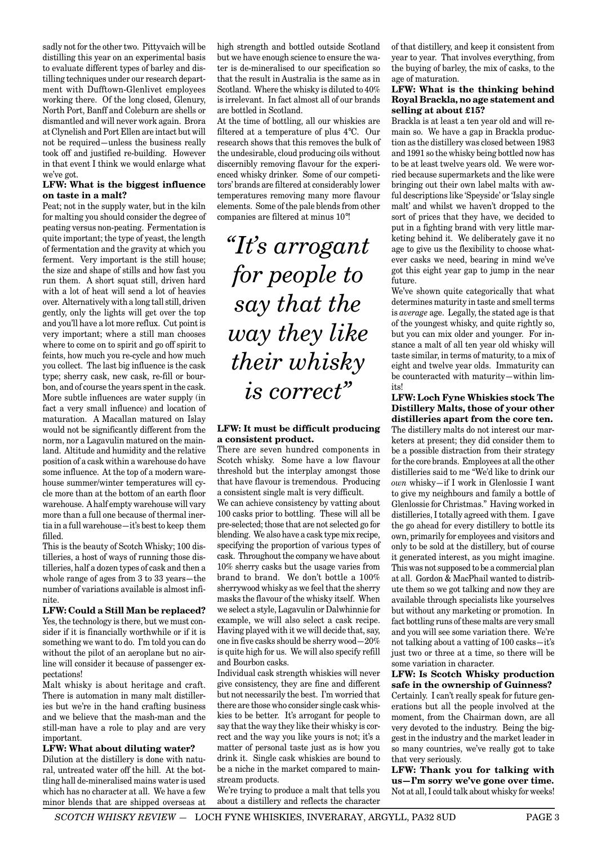sadly not for the other two. Pittyvaich will be distilling this year on an experimental basis to evaluate different types of barley and distilling techniques under our research department with Dufftown-Glenlivet employees working there. Of the long closed, Glenury, North Port, Banff and Coleburn are shells or dismantled and will never work again. Brora at Clynelish and Port Ellen are intact but will not be required—unless the business really took off and justified re-building. However in that event I think we would enlarge what we've got.

#### **LFW: What is the biggest influence on taste in a malt?**

Peat; not in the supply water, but in the kiln for malting you should consider the degree of peating versus non-peating. Fermentation is quite important; the type of yeast, the length of fermentation and the gravity at which you ferment. Very important is the still house; the size and shape of stills and how fast you run them. A short squat still, driven hard with a lot of heat will send a lot of heavies over. Alternatively with a long tall still, driven gently, only the lights will get over the top and you'll have a lot more reflux. Cut point is very important; where a still man chooses where to come on to spirit and go off spirit to feints, how much you re-cycle and how much you collect. The last big influence is the cask type; sherry cask, new cask, re-fill or bourbon, and of course the years spent in the cask. More subtle influences are water supply (in fact a very small influence) and location of maturation. A Macallan matured on Islay would not be significantly different from the norm, nor a Lagavulin matured on the mainland. Altitude and humidity and the relative position of a cask within a warehouse do have some influence. At the top of a modern warehouse summer/winter temperatures will cycle more than at the bottom of an earth floor warehouse. A half empty warehouse will vary more than a full one because of thermal inertia in a full warehouse—it's best to keep them filled.

This is the beauty of Scotch Whisky; 100 distilleries, a host of ways of running those distilleries, half a dozen types of cask and then a whole range of ages from 3 to 33 years—the number of variations available is almost infinite.

#### **LFW: Could a Still Man be replaced?**

Yes, the technology is there, but we must consider if it is financially worthwhile or if it is something we want to do. I'm told you can do without the pilot of an aeroplane but no airline will consider it because of passenger expectations!

Malt whisky is about heritage and craft. There is automation in many malt distilleries but we're in the hand crafting business and we believe that the mash-man and the still-man have a role to play and are very important.

#### **LFW: What about diluting water?**

Dilution at the distillery is done with natural, untreated water off the hill. At the bottling hall de-mineralised mains water is used which has no character at all. We have a few minor blends that are shipped overseas at high strength and bottled outside Scotland but we have enough science to ensure the water is de-mineralised to our specification so that the result in Australia is the same as in Scotland. Where the whisky is diluted to 40% is irrelevant. In fact almost all of our brands are bottled in Scotland.

At the time of bottling, all our whiskies are filtered at a temperature of plus 4°C. Our research shows that this removes the bulk of the undesirable, cloud producing oils without discernibly removing flavour for the experienced whisky drinker. Some of our competitors' brands are filtered at considerably lower temperatures removing many more flavour elements. Some of the pale blends from other companies are filtered at minus 10°!

*"It's arrogant for people to say that the way they like their whisky is correct"*

#### **LFW: It must be difficult producing a consistent product.**

There are seven hundred components in Scotch whisky. Some have a low flavour threshold but the interplay amongst those that have flavour is tremendous. Producing a consistent single malt is very difficult.

We can achieve consistency by vatting about 100 casks prior to bottling. These will all be pre-selected; those that are not selected go for blending. We also have a cask type mix recipe, specifying the proportion of various types of cask. Throughout the company we have about 10% sherry casks but the usage varies from brand to brand. We don't bottle a 100% sherrywood whisky as we feel that the sherry masks the flavour of the whisky itself. When we select a style, Lagavulin or Dalwhinnie for example, we will also select a cask recipe. Having played with it we will decide that, say, one in five casks should be sherry wood—20% is quite high for us. We will also specify refill and Bourbon casks.

Individual cask strength whiskies will never give consistency, they are fine and different but not necessarily the best. I'm worried that there are those who consider single cask whiskies to be better. It's arrogant for people to say that the way they like their whisky is correct and the way you like yours is not; it's a matter of personal taste just as is how you drink it. Single cask whiskies are bound to be a niche in the market compared to mainstream products.

We're trying to produce a malt that tells you about a distillery and reflects the character of that distillery, and keep it consistent from year to year. That involves everything, from the buying of barley, the mix of casks, to the age of maturation.

#### **LFW: What is the thinking behind Royal Brackla, no age statement and selling at about £15?**

Brackla is at least a ten year old and will remain so. We have a gap in Brackla production as the distillery was closed between 1983 and 1991 so the whisky being bottled now has to be at least twelve years old. We were worried because supermarkets and the like were bringing out their own label malts with awful descriptions like 'Speyside' or 'Islay single malt' and whilst we haven't dropped to the sort of prices that they have, we decided to put in a fighting brand with very little marketing behind it. We deliberately gave it no age to give us the flexibility to choose whatever casks we need, bearing in mind we've got this eight year gap to jump in the near future.

We've shown quite categorically that what determines maturity in taste and smell terms is *average* age. Legally, the stated age is that of the youngest whisky, and quite rightly so, but you can mix older and younger. For instance a malt of all ten year old whisky will taste similar, in terms of maturity, to a mix of eight and twelve year olds. Immaturity can be counteracted with maturity—within limits!

**LFW: Loch Fyne Whiskies stock The Distillery Malts, those of your other distilleries apart from the core ten.** The distillery malts do not interest our marketers at present; they did consider them to be a possible distraction from their strategy for the core brands. Employees at all the other distilleries said to me "We'd like to drink our *own* whisky—if I work in Glenlossie I want to give my neighbours and family a bottle of Glenlossie for Christmas." Having worked in distilleries, I totally agreed with them. I gave the go ahead for every distillery to bottle its own, primarily for employees and visitors and only to be sold at the distillery, but of course it generated interest, as you might imagine. This was not supposed to be a commercial plan at all. Gordon & MacPhail wanted to distribute them so we got talking and now they are available through specialists like yourselves but without any marketing or promotion. In fact bottling runs of these malts are very small and you will see some variation there. We're not talking about a vatting of 100 casks—it's just two or three at a time, so there will be some variation in character.

**LFW: Is Scotch Whisky production safe in the ownership of Guinness?** Certainly. I can't really speak for future generations but all the people involved at the moment, from the Chairman down, are all very devoted to the industry. Being the biggest in the industry and the market leader in so many countries, we've really got to take that very seriously.

**LFW: Thank you for talking with us—I'm sorry we've gone over time.** Not at all, I could talk about whisky for weeks!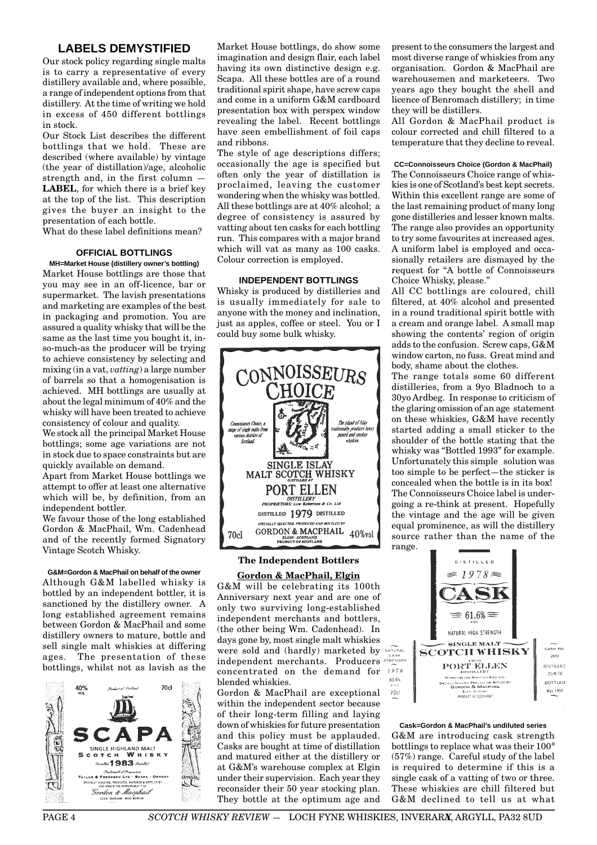# **LABELS DEMYSTIFIED**

Our stock policy regarding single malts is to carry a representative of every distillery available and, where possible, a range of independent options from that distillery. At the time of writing we hold in excess of 450 different bottlings in stock.

Our Stock List describes the different bottlings that we hold. These are described (where available) by vintage (the year of distillation)/age, alcoholic strength and, in the first column — **LABEL**, for which there is a brief key at the top of the list. This description gives the buyer an insight to the presentation of each bottle.

What do these label definitions mean?

#### **OFFICIAL BOTTLINGS**

**MH=Market House (distillery owner's bottling)** Market House bottlings are those that you may see in an off-licence, bar or supermarket. The lavish presentations and marketing are examples of the best in packaging and promotion. You are assured a quality whisky that will be the same as the last time you bought it, inso-much-as the producer will be trying to achieve consistency by selecting and mixing (in a vat, *vatting*) a large number of barrels so that a homogenisation is achieved. MH bottlings are usually at about the legal minimum of 40% and the whisky will have been treated to achieve consistency of colour and quality.

We stock all the principal Market House bottlings; some age variations are not in stock due to space constraints but are quickly available on demand.

Apart from Market House bottlings we attempt to offer at least one alternative which will be, by definition, from an independent bottler.

We favour those of the long established Gordon & MacPhail, Wm. Cadenhead and of the recently formed Signatory Vintage Scotch Whisky.

#### **G&M=Gordon & MacPhail on behalf of the owner**

Although G&M labelled whisky is bottled by an independent bottler, it is sanctioned by the distillery owner. A long established agreement remains between Gordon & MacPhail and some distillery owners to mature, bottle and sell single malt whiskies at differing ages. The presentation of these bottlings, whilst not as lavish as the



Market House bottlings, do show some imagination and design flair, each label having its own distinctive design e.g. Scapa. All these bottles are of a round traditional spirit shape, have screw caps and come in a uniform G&M cardboard presentation box with perspex window revealing the label. Recent bottlings have seen embellishment of foil caps and ribbons.

The style of age descriptions differs; occasionally the age is specified but often only the year of distillation is proclaimed, leaving the customer wondering when the whisky was bottled. All these bottlings are at 40% alcohol; a degree of consistency is assured by vatting about ten casks for each bottling run. This compares with a major brand which will vat as many as 100 casks. Colour correction is employed.

#### **INDEPENDENT BOTTLINGS**

Whisky is produced by distilleries and is usually immediately for sale to anyone with the money and inclination, just as apples, coffee or steel. You or I could buy some bulk whisky.



#### **The Independent Bottlers**

#### **Gordon & MacPhail, Elgin**

G&M will be celebrating its 100th Anniversary next year and are one of only two surviving long-established independent merchants and bottlers, (the other being Wm. Cadenhead). In days gone by, most single malt whiskies Were sold and (hardly) marketed by NATURAL independent merchants. Producers concentrated on the demand for blended whiskies.

Gordon & MacPhail are exceptional within the independent sector because of their long-term filling and laying down of whiskies for future presentation and this policy must be applauded. Casks are bought at time of distillation and matured either at the distillery or at G&M's warehouse complex at Elgin under their supervision. Each year they reconsider their 50 year stocking plan. They bottle at the optimum age and

present to the consumers the largest and most diverse range of whiskies from any organisation. Gordon & MacPhail are warehousemen and marketeers. Two years ago they bought the shell and licence of Benromach distillery; in time they will be distillers.

All Gordon & MacPhail product is colour corrected and chill filtered to a temperature that they decline to reveal.

#### **CC=Connoisseurs Choice (Gordon & MacPhail)**

The Connoisseurs Choice range of whiskies is one of Scotland's best kept secrets. Within this excellent range are some of the last remaining product of many long gone distilleries and lesser known malts. The range also provides an opportunity to try some favourites at increased ages. A uniform label is employed and occasionally retailers are dismayed by the request for "A bottle of Connoisseurs Choice Whisky, please."

All CC bottlings are coloured, chill filtered, at 40% alcohol and presented in a round traditional spirit bottle with a cream and orange label. A small map showing the contents' region of origin adds to the confusion. Screw caps, G&M window carton, no fuss. Great mind and body, shame about the clothes.

The range totals some 60 different distilleries, from a 9yo Bladnoch to a 30yo Ardbeg. In response to criticism of the glaring omission of an age statement on these whiskies, G&M have recently started adding a small sticker to the shoulder of the bottle stating that the whisky was "Bottled 1993" for example. Unfortunately this simple solution was too simple to be perfect—the sticker is concealed when the bottle is in its box! The Connoisseurs Choice label is undergoing a re-think at present. Hopefully the vintage and the age will be given equal prominence, as will the distillery source rather than the name of the range.



**Cask=Gordon & MacPhail's undiluted series** G&M are introducing cask strength bottlings to replace what was their 100° (57%) range. Careful study of the label is required to determine if this is a single cask of a vatting of two or three. These whiskies are chill filtered but G&M declined to tell us at what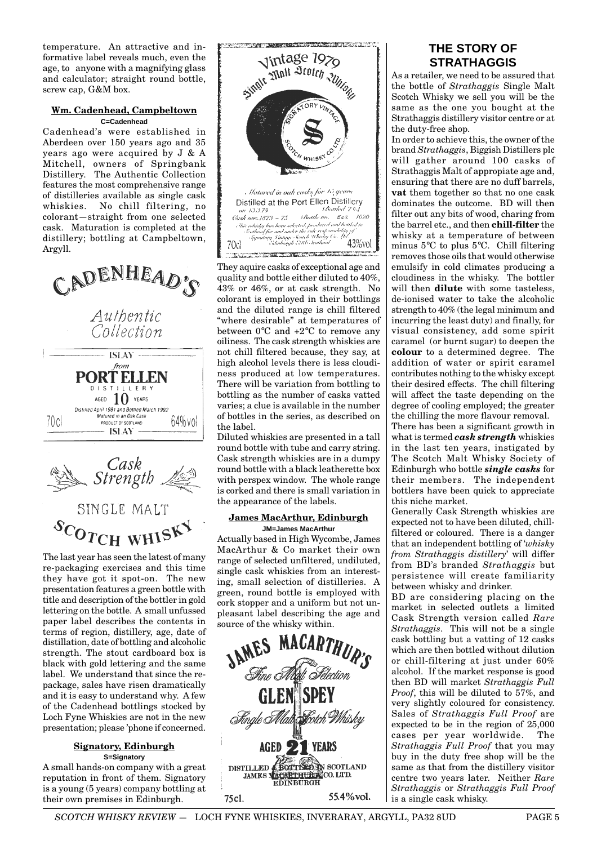temperature. An attractive and informative label reveals much, even the age, to anyone with a magnifying glass and calculator; straight round bottle, screw cap, G&M box.

#### **Wm. Cadenhead, Campbeltown C=Cadenhead**

Cadenhead's were established in Aberdeen over 150 years ago and 35 years ago were acquired by J & A Mitchell, owners of Springbank Distillery. The Authentic Collection features the most comprehensive range of distilleries available as single cask whiskies. No chill filtering, no colorant—straight from one selected cask. Maturation is completed at the distillery; bottling at Campbeltown, Argyll.





SCOTCH WHISK

The last year has seen the latest of many re-packaging exercises and this time they have got it spot-on. The new presentation features a green bottle with title and description of the bottler in gold lettering on the bottle. A small unfussed paper label describes the contents in terms of region, distillery, age, date of distillation, date of bottling and alcoholic strength. The stout cardboard box is black with gold lettering and the same label. We understand that since the repackage, sales have risen dramatically and it is easy to understand why. A few of the Cadenhead bottlings stocked by Loch Fyne Whiskies are not in the new presentation; please 'phone if concerned.

#### **Signatory, Edinburgh S=Signatory**

A small hands-on company with a great reputation in front of them. Signatory is a young (5 years) company bottling at their own premises in Edinburgh.



They aquire casks of exceptional age and quality and bottle either diluted to 40%, 43% or 46%, or at cask strength. No colorant is employed in their bottlings and the diluted range is chill filtered "where desirable" at temperatures of between 0°C and +2°C to remove any oiliness. The cask strength whiskies are not chill filtered because, they say, at high alcohol levels there is less cloudiness produced at low temperatures. There will be variation from bottling to bottling as the number of casks vatted varies; a clue is available in the number of bottles in the series, as described on the label.

Diluted whiskies are presented in a tall round bottle with tube and carry string. Cask strength whiskies are in a dumpy round bottle with a black leatherette box with perspex window. The whole range is corked and there is small variation in the appearance of the labels.

#### **James MacArthur, Edinburgh JM=James MacArthur**

Actually based in High Wycombe, James MacArthur & Co market their own range of selected unfiltered, undiluted, single cask whiskies from an interesting, small selection of distilleries. A green, round bottle is employed with cork stopper and a uniform but not unpleasant label describing the age and source of the whisky within.



# **THE STORY OF STRATHAGGIS**

As a retailer, we need to be assured that the bottle of *Strathaggis* Single Malt Scotch Whisky we sell you will be the same as the one you bought at the Strathaggis distillery visitor centre or at the duty-free shop.

In order to achieve this, the owner of the brand *Strathaggis*, Biggish Distillers plc will gather around 100 casks of Strathaggis Malt of appropiate age and, ensuring that there are no duff barrels, **vat** them together so that no one cask dominates the outcome. BD will then filter out any bits of wood, charing from the barrel etc., and then **chill-filter** the whisky at a temperature of between minus 5°C to plus 5°C. Chill filtering removes those oils that would otherwise emulsify in cold climates producing a cloudiness in the whisky. The bottler will then **dilute** with some tasteless, de-ionised water to take the alcoholic strength to 40% (the legal minimum and incurring the least duty) and finally, for visual consistency, add some spirit caramel (or burnt sugar) to deepen the **colour** to a determined degree. The addition of water or spirit caramel contributes nothing to the whisky except their desired effects. The chill filtering will affect the taste depending on the degree of cooling employed; the greater the chilling the more flavour removal.

There has been a significant growth in what is termed *cask strength* whiskies in the last ten years, instigated by The Scotch Malt Whisky Society of Edinburgh who bottle *single casks* for their members. The independent bottlers have been quick to appreciate this niche market.

Generally Cask Strength whiskies are expected not to have been diluted, chillfiltered or coloured. There is a danger that an independent bottling of '*whisky from Strathaggis distillery*' will differ from BD's branded *Strathaggis* but persistence will create familiarity between whisky and drinker.

BD are considering placing on the market in selected outlets a limited Cask Strength version called *Rare Strathaggis*. This will not be a single cask bottling but a vatting of 12 casks which are then bottled without dilution or chill-filtering at just under 60% alcohol. If the market response is good then BD will market *Strathaggis Full Proof*, this will be diluted to 57%, and very slightly coloured for consistency. Sales of *Strathaggis Full Proof* are expected to be in the region of 25,000 cases per year worldwide. The *Strathaggis Full Proof* that you may buy in the duty free shop will be the same as that from the distillery visitor centre two years later. Neither *Rare Strathaggis* or *Strathaggis Full Proof* is a single cask whisky.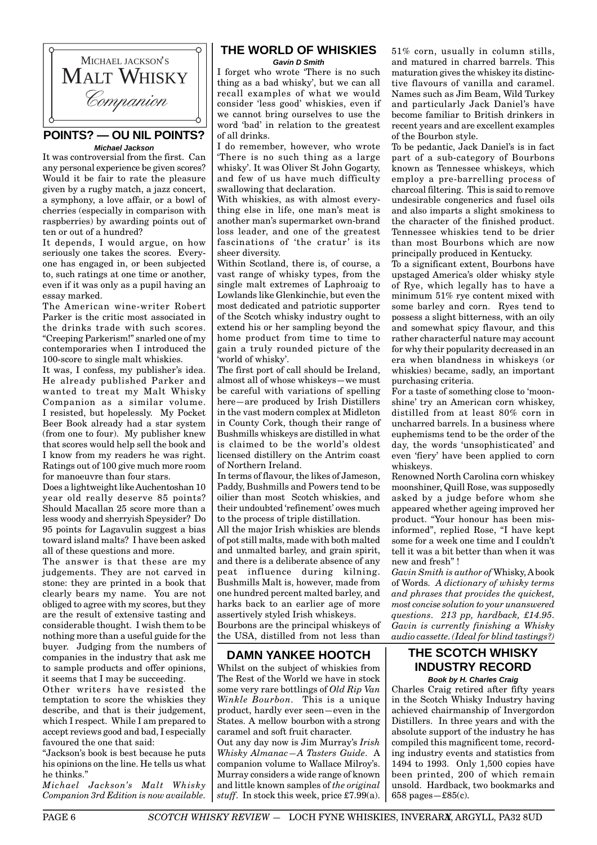

# **POINTS? — OU NIL POINTS? Michael Jackson**

It was controversial from the first. Can any personal experience be given scores? Would it be fair to rate the pleasure given by a rugby match, a jazz concert, a symphony, a love affair, or a bowl of cherries (especially in comparison with raspberries) by awarding points out of ten or out of a hundred?

It depends, I would argue, on how seriously one takes the scores. Everyone has engaged in, or been subjected to, such ratings at one time or another, even if it was only as a pupil having an essay marked.

The American wine-writer Robert Parker is the critic most associated in the drinks trade with such scores. "Creeping Parkerism!" snarled one of my contemporaries when I introduced the 100-score to single malt whiskies.

It was, I confess, my publisher's idea. He already published Parker and wanted to treat my Malt Whisky Companion as a similar volume. I resisted, but hopelessly. My Pocket Beer Book already had a star system (from one to four). My publisher knew that scores would help sell the book and I know from my readers he was right. Ratings out of 100 give much more room for manoeuvre than four stars.

Does a lightweight like Auchentoshan 10 year old really deserve 85 points? Should Macallan 25 score more than a less woody and sherryish Speysider? Do 95 points for Lagavulin suggest a bias toward island malts? I have been asked all of these questions and more.

The answer is that these are my judgements. They are not carved in stone: they are printed in a book that clearly bears my name. You are not obliged to agree with my scores, but they are the result of extensive tasting and considerable thought. I wish them to be nothing more than a useful guide for the buyer. Judging from the numbers of companies in the industry that ask me to sample products and offer opinions, it seems that I may be succeeding.

Other writers have resisted the temptation to score the whiskies they describe, and that is their judgement. which I respect. While I am prepared to accept reviews good and bad, I especially favoured the one that said:

"Jackson's book is best because he puts his opinions on the line. He tells us what he thinks."

*Michael Jackson's Malt Whisky Companion 3rd Edition is now available.*

# **THE WORLD OF WHISKIES**

**Gavin D Smith**

I forget who wrote 'There is no such thing as a bad whisky', but we can all recall examples of what we would consider 'less good' whiskies, even if we cannot bring ourselves to use the word 'bad' in relation to the greatest of all drinks.

I do remember, however, who wrote 'There is no such thing as a large whisky'. It was Oliver St John Gogarty, and few of us have much difficulty swallowing that declaration.

With whiskies, as with almost everything else in life, one man's meat is another man's supermarket own-brand loss leader, and one of the greatest fascinations of 'the cratur' is its sheer diversity.

Within Scotland, there is, of course, a vast range of whisky types, from the single malt extremes of Laphroaig to Lowlands like Glenkinchie, but even the most dedicated and patriotic supporter of the Scotch whisky industry ought to extend his or her sampling beyond the home product from time to time to gain a truly rounded picture of the 'world of whisky'.

The first port of call should be Ireland, almost all of whose whiskeys—we must be careful with variations of spelling here—are produced by Irish Distillers in the vast modern complex at Midleton in County Cork, though their range of Bushmills whiskeys are distilled in what is claimed to be the world's oldest licensed distillery on the Antrim coast of Northern Ireland.

In terms of flavour, the likes of Jameson, Paddy, Bushmills and Powers tend to be oilier than most Scotch whiskies, and their undoubted 'refinement' owes much to the process of triple distillation.

All the major Irish whiskies are blends of pot still malts, made with both malted and unmalted barley, and grain spirit, and there is a deliberate absence of any peat influence during kilning. Bushmills Malt is, however, made from one hundred percent malted barley, and harks back to an earlier age of more assertively styled Irish whiskeys.

Bourbons are the principal whiskeys of the USA, distilled from not less than

# **DAMN YANKEE HOOTCH**

Whilst on the subject of whiskies from The Rest of the World we have in stock some very rare bottlings of *Old Rip Van Winkle Bourbon.* This is a unique product, hardly ever seen—even in the States. A mellow bourbon with a strong caramel and soft fruit character. Out any day now is Jim Murray's *Irish Whisky Almanac—A Tasters Guide*. A companion volume to Wallace Milroy's. Murray considers a wide range of known and little known samples of *the original stuff*. In stock this week, price £7.99(a).

51% corn, usually in column stills, and matured in charred barrels. This maturation gives the whiskey its distinctive flavours of vanilla and caramel. Names such as Jim Beam, Wild Turkey and particularly Jack Daniel's have become familiar to British drinkers in recent years and are excellent examples of the Bourbon style.

To be pedantic, Jack Daniel's is in fact part of a sub-category of Bourbons known as Tennessee whiskeys, which employ a pre-barrelling process of charcoal filtering. This is said to remove undesirable congenerics and fusel oils and also imparts a slight smokiness to the character of the finished product. Tennessee whiskies tend to be drier than most Bourbons which are now principally produced in Kentucky.

To a significant extent, Bourbons have upstaged America's older whisky style of Rye, which legally has to have a minimum 51% rye content mixed with some barley and corn. Ryes tend to possess a slight bitterness, with an oily and somewhat spicy flavour, and this rather characterful nature may account for why their popularity decreased in an era when blandness in whiskeys (or whiskies) became, sadly, an important purchasing criteria.

For a taste of something close to 'moonshine' try an American corn whiskey, distilled from at least 80% corn in uncharred barrels. In a business where euphemisms tend to be the order of the day, the words 'unsophisticated' and even 'fiery' have been applied to corn whiskeys.

Renowned North Carolina corn whiskey moonshiner, Quill Rose, was supposedly asked by a judge before whom she appeared whether ageing improved her product. "Your honour has been misinformed", replied Rose, "I have kept some for a week one time and I couldn't tell it was a bit better than when it was new and fresh" !

*Gavin Smith is author of* Whisky, A book of Words*. A dictionary of whisky terms and phrases that provides the quickest, most concise solution to your unanswered questions. 213 pp, hardback, £14.95. Gavin is currently finishing a Whisky audio cassette. (Ideal for blind tastings?)*

## **THE SCOTCH WHISKY INDUSTRY RECORD Book by H. Charles Craig**

Charles Craig retired after fifty years in the Scotch Whisky Industry having achieved chairmanship of Invergordon Distillers. In three years and with the absolute support of the industry he has compiled this magnificent tome, recording industry events and statistics from 1494 to 1993. Only 1,500 copies have been printed, 200 of which remain unsold. Hardback, two bookmarks and 658 pages—£85(c).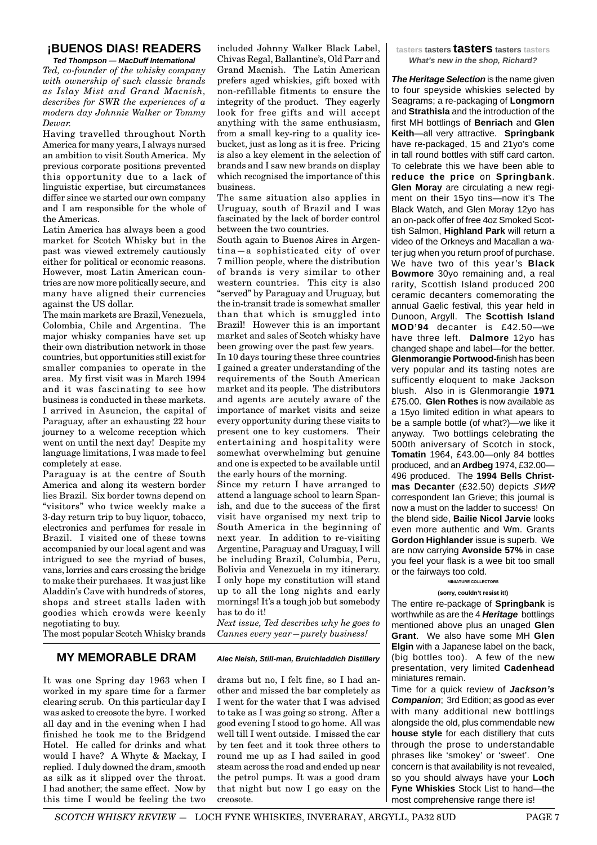# **¡BUENOS DIAS! READERS**

**Ted Thompson — MacDuff International** *Ted, co-founder of the whisky company with ownership of such classic brands as Islay Mist and Grand Macnish, describes for SWR the experiences of a modern day Johnnie Walker or Tommy Dewar.*

Having travelled throughout North America for many years, I always nursed an ambition to visit South America. My previous corporate positions prevented this opportunity due to a lack of linguistic expertise, but circumstances differ since we started our own company and I am responsible for the whole of the Americas.

Latin America has always been a good market for Scotch Whisky but in the past was viewed extremely cautiously either for political or economic reasons. However, most Latin American countries are now more politically secure, and many have aligned their currencies against the US dollar.

The main markets are Brazil, Venezuela, Colombia, Chile and Argentina. The major whisky companies have set up their own distribution network in those countries, but opportunities still exist for smaller companies to operate in the area. My first visit was in March 1994 and it was fascinating to see how business is conducted in these markets. I arrived in Asuncion, the capital of Paraguay, after an exhausting 22 hour journey to a welcome reception which went on until the next day! Despite my language limitations, I was made to feel completely at ease.

Paraguay is at the centre of South America and along its western border lies Brazil. Six border towns depend on "visitors" who twice weekly make a 3-day return trip to buy liquor, tobacco, electronics and perfumes for resale in Brazil. I visited one of these towns accompanied by our local agent and was intrigued to see the myriad of buses, vans, lorries and cars crossing the bridge to make their purchases. It was just like Aladdin's Cave with hundreds of stores, shops and street stalls laden with goodies which crowds were keenly negotiating to buy.

The most popular Scotch Whisky brands

#### **MY MEMORABLE DRAM Alec Neish, Still-man, Bruichladdich Distillery**

It was one Spring day 1963 when I worked in my spare time for a farmer clearing scrub. On this particular day I was asked to creosote the byre. I worked all day and in the evening when I had finished he took me to the Bridgend Hotel. He called for drinks and what would I have? A Whyte & Mackay, I replied. I duly downed the dram, smooth as silk as it slipped over the throat. I had another; the same effect. Now by this time I would be feeling the two included Johnny Walker Black Label, Chivas Regal, Ballantine's, Old Parr and Grand Macnish. The Latin American prefers aged whiskies, gift boxed with non-refillable fitments to ensure the integrity of the product. They eagerly look for free gifts and will accept anything with the same enthusiasm, from a small key-ring to a quality icebucket, just as long as it is free. Pricing is also a key element in the selection of brands and I saw new brands on display which recognised the importance of this business.

The same situation also applies in Uruguay, south of Brazil and I was fascinated by the lack of border control between the two countries.

South again to Buenos Aires in Argentina—a sophisticated city of over 7 million people, where the distribution of brands is very similar to other western countries. This city is also "served" by Paraguay and Uruguay, but the in-transit trade is somewhat smaller than that which is smuggled into Brazil! However this is an important market and sales of Scotch whisky have been growing over the past few years.

In 10 days touring these three countries I gained a greater understanding of the requirements of the South American market and its people. The distributors and agents are acutely aware of the importance of market visits and seize every opportunity during these visits to present one to key customers. Their entertaining and hospitality were somewhat overwhelming but genuine and one is expected to be available until the early hours of the morning.

Since my return I have arranged to attend a language school to learn Spanish, and due to the success of the first visit have organised my next trip to South America in the beginning of next year. In addition to re-visiting Argentine, Paraguay and Uraguay, I will be including Brazil, Columbia, Peru, Bolivia and Venezuela in my itinerary. I only hope my constitution will stand up to all the long nights and early mornings! It's a tough job but somebody has to do it!

*Next issue, Ted describes why he goes to Cannes every year—purely business!*

drams but no, I felt fine, so I had another and missed the bar completely as I went for the water that I was advised to take as I was going so strong. After a good evening I stood to go home. All was well till I went outside. I missed the car by ten feet and it took three others to round me up as I had sailed in good steam across the road and ended up near the petrol pumps. It was a good dram that night but now I go easy on the creosote.

**tasters tasters tasters tasters tasters What's new in the shop, Richard?**

**The Heritage Selection** is the name given to four speyside whiskies selected by Seagrams; a re-packaging of **Longmorn** and **Strathisla** and the introduction of the first MH bottlings of **Benriach** and **Glen Keith**—all very attractive. **Springbank** have re-packaged, 15 and 21yo's come in tall round bottles with stiff card carton. To celebrate this we have been able to **reduce the price** on **Springbank**. **Glen Moray** are circulating a new regiment on their 15yo tins—now it's The Black Watch, and Glen Moray 12yo has an on-pack offer of free 4oz Smoked Scottish Salmon, **Highland Park** will return a video of the Orkneys and Macallan a water jug when you return proof of purchase. We have two of this year's **Black Bowmore** 30yo remaining and, a real rarity, Scottish Island produced 200 ceramic decanters comemorating the annual Gaelic festival, this year held in Dunoon, Argyll. The **Scottish Island MOD'94** decanter is £42.50—we have three left. **Dalmore** 12yo has changed shape and label—for the better. **Glenmorangie Portwood-**finish has been very popular and its tasting notes are sufficently eloquent to make Jackson blush. Also in is Glenmorangie **1971** £75.00. **Glen Rothes** is now available as a 15yo limited edition in what apears to be a sample bottle (of what?)—we like it anyway. Two bottlings celebrating the 500th aniversary of Scotch in stock, **Tomatin** 1964, £43.00—only 84 bottles produced, and an **Ardbeg** 1974, £32.00— 496 produced. The **1994 Bells Christmas Decanter** (£32.50) depicts SWR correspondent Ian Grieve; this journal is now a must on the ladder to success! On the blend side, **Bailie Nicol Jarvie** looks even more authentic and Wm. Grants **Gordon Highlander** issue is superb. We are now carrying **Avonside 57%** in case you feel your flask is a wee bit too small or the fairways too cold. **MINIATURE COLLECTORS**

#### **(sorry, couldn't resist it!)**

The entire re-package of **Springbank** is worthwhile as are the 4 **Heritage** bottlings mentioned above plus an unaged **Glen Grant**. We also have some MH **Glen Elgin** with a Japanese label on the back, (big bottles too). A few of the new presentation, very limited **Cadenhead** miniatures remain.

Time for a quick review of **Jackson's Companion**; 3rd Edition; as good as ever with many additional new bottlings alongside the old, plus commendable new **house style** for each distillery that cuts through the prose to understandable phrases like 'smokey' or 'sweet'. One concern is that availability is not revealed, so you should always have your **Loch Fyne Whiskies** Stock List to hand—the most comprehensive range there is!